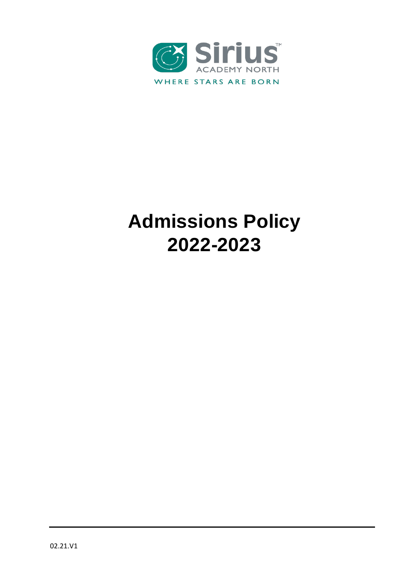

# **Admissions Policy 2022-2023**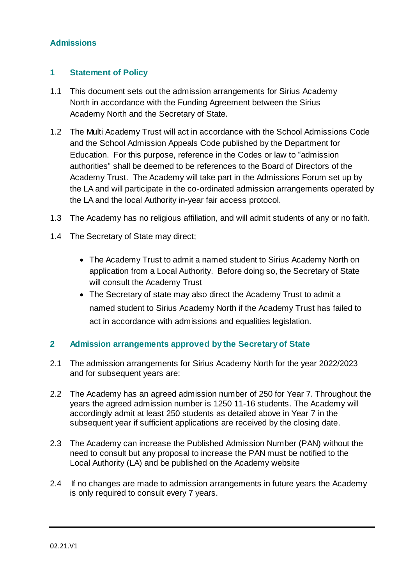## **Admissions**

## **1 Statement of Policy**

- 1.1 This document sets out the admission arrangements for Sirius Academy North in accordance with the Funding Agreement between the Sirius Academy North and the Secretary of State.
- 1.2 The Multi Academy Trust will act in accordance with the School Admissions Code and the School Admission Appeals Code published by the Department for Education. For this purpose, reference in the Codes or law to "admission authorities" shall be deemed to be references to the Board of Directors of the Academy Trust. The Academy will take part in the Admissions Forum set up by the LA and will participate in the co-ordinated admission arrangements operated by the LA and the local Authority in-year fair access protocol.
- 1.3 The Academy has no religious affiliation, and will admit students of any or no faith.
- 1.4 The Secretary of State may direct;
	- The Academy Trust to admit a named student to Sirius Academy North on application from a Local Authority. Before doing so, the Secretary of State will consult the Academy Trust
	- The Secretary of state may also direct the Academy Trust to admit a named student to Sirius Academy North if the Academy Trust has failed to act in accordance with admissions and equalities legislation.

#### **2 Admission arrangements approved by the Secretary of State**

- 2.1 The admission arrangements for Sirius Academy North for the year 2022/2023 and for subsequent years are:
- 2.2 The Academy has an agreed admission number of 250 for Year 7. Throughout the years the agreed admission number is 1250 11-16 students. The Academy will accordingly admit at least 250 students as detailed above in Year 7 in the subsequent year if sufficient applications are received by the closing date.
- 2.3 The Academy can increase the Published Admission Number (PAN) without the need to consult but any proposal to increase the PAN must be notified to the Local Authority (LA) and be published on the Academy website
- 2.4 If no changes are made to admission arrangements in future years the Academy is only required to consult every 7 years.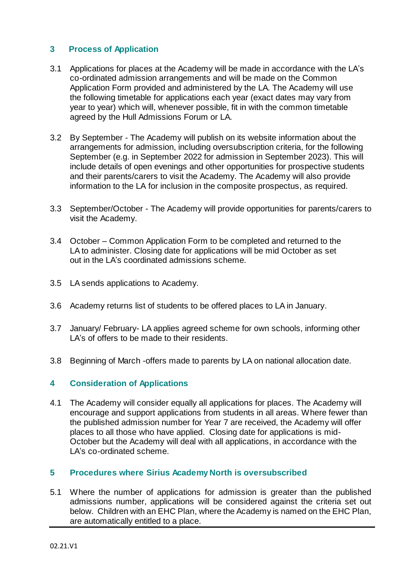## **3 Process of Application**

- 3.1 Applications for places at the Academy will be made in accordance with the LA's co-ordinated admission arrangements and will be made on the Common Application Form provided and administered by the LA. The Academy will use the following timetable for applications each year (exact dates may vary from year to year) which will, whenever possible, fit in with the common timetable agreed by the Hull Admissions Forum or LA.
- 3.2 By September The Academy will publish on its website information about the arrangements for admission, including oversubscription criteria, for the following September (e.g. in September 2022 for admission in September 2023). This will include details of open evenings and other opportunities for prospective students and their parents/carers to visit the Academy. The Academy will also provide information to the LA for inclusion in the composite prospectus, as required.
- 3.3 September/October The Academy will provide opportunities for parents/carers to visit the Academy.
- 3.4 October Common Application Form to be completed and returned to the LA to administer. Closing date for applications will be mid October as set out in the LA's coordinated admissions scheme.
- 3.5 LA sends applications to Academy.
- 3.6 Academy returns list of students to be offered places to LA in January.
- 3.7 January/ February- LA applies agreed scheme for own schools, informing other LA's of offers to be made to their residents.
- 3.8 Beginning of March -offers made to parents by LA on national allocation date.

## **4 Consideration of Applications**

4.1 The Academy will consider equally all applications for places. The Academy will encourage and support applications from students in all areas. Where fewer than the published admission number for Year 7 are received, the Academy will offer places to all those who have applied. Closing date for applications is mid-October but the Academy will deal with all applications, in accordance with the LA's co-ordinated scheme.

## **5 Procedures where Sirius Academy North is oversubscribed**

5.1 Where the number of applications for admission is greater than the published admissions number, applications will be considered against the criteria set out below. Children with an EHC Plan, where the Academy is named on the EHC Plan, are automatically entitled to a place.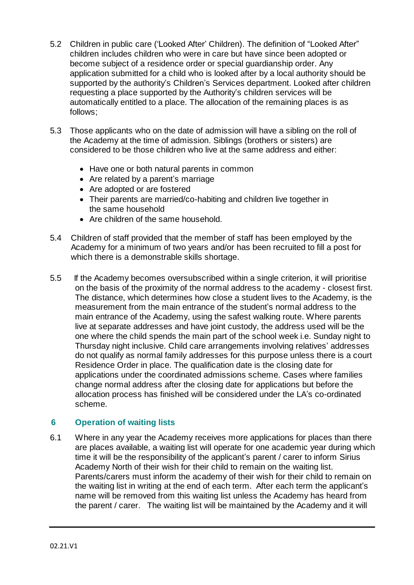- 5.2 Children in public care ('Looked After' Children). The definition of "Looked After" children includes children who were in care but have since been adopted or become subject of a residence order or special guardianship order. Any application submitted for a child who is looked after by a local authority should be supported by the authority's Children's Services department. Looked after children requesting a place supported by the Authority's children services will be automatically entitled to a place. The allocation of the remaining places is as follows;
- 5.3 Those applicants who on the date of admission will have a sibling on the roll of the Academy at the time of admission. Siblings (brothers or sisters) are considered to be those children who live at the same address and either:
	- Have one or both natural parents in common
	- Are related by a parent's marriage
	- Are adopted or are fostered
	- Their parents are married/co-habiting and children live together in the same household
	- Are children of the same household.
- 5.4 Children of staff provided that the member of staff has been employed by the Academy for a minimum of two years and/or has been recruited to fill a post for which there is a demonstrable skills shortage.
- 5.5 If the Academy becomes oversubscribed within a single criterion, it will prioritise on the basis of the proximity of the normal address to the academy - closest first. The distance, which determines how close a student lives to the Academy, is the measurement from the main entrance of the student's normal address to the main entrance of the Academy, using the safest walking route. Where parents live at separate addresses and have joint custody, the address used will be the one where the child spends the main part of the school week i.e. Sunday night to Thursday night inclusive. Child care arrangements involving relatives' addresses do not qualify as normal family addresses for this purpose unless there is a court Residence Order in place. The qualification date is the closing date for applications under the coordinated admissions scheme. Cases where families change normal address after the closing date for applications but before the allocation process has finished will be considered under the LA's co-ordinated scheme.

## **6 Operation of waiting lists**

6.1 Where in any year the Academy receives more applications for places than there are places available, a waiting list will operate for one academic year during which time it will be the responsibility of the applicant's parent / carer to inform Sirius Academy North of their wish for their child to remain on the waiting list. Parents/carers must inform the academy of their wish for their child to remain on the waiting list in writing at the end of each term. After each term the applicant's name will be removed from this waiting list unless the Academy has heard from the parent / carer. The waiting list will be maintained by the Academy and it will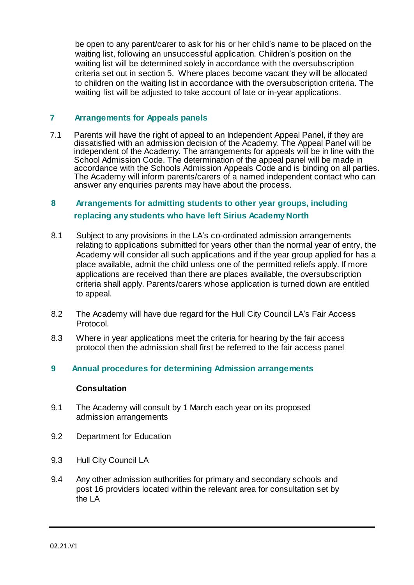be open to any parent/carer to ask for his or her child's name to be placed on the waiting list, following an unsuccessful application. Children's position on the waiting list will be determined solely in accordance with the oversubscription criteria set out in section 5. Where places become vacant they will be allocated to children on the waiting list in accordance with the oversubscription criteria. The waiting list will be adjusted to take account of late or in-year applications.

## **7 Arrangements for Appeals panels**

7.1 Parents will have the right of appeal to an Independent Appeal Panel, if they are dissatisfied with an admission decision of the Academy. The Appeal Panel will be independent of the Academy. The arrangements for appeals will be in line with the School Admission Code. The determination of the appeal panel will be made in accordance with the Schools Admission Appeals Code and is binding on all parties. The Academy will inform parents/carers of a named independent contact who can answer any enquiries parents may have about the process.

# **8 Arrangements for admitting students to other year groups, including replacing any students who have left Sirius Academy North**

- 8.1 Subject to any provisions in the LA's co-ordinated admission arrangements relating to applications submitted for years other than the normal year of entry, the Academy will consider all such applications and if the year group applied for has a place available, admit the child unless one of the permitted reliefs apply. If more applications are received than there are places available, the oversubscription criteria shall apply. Parents/carers whose application is turned down are entitled to appeal.
- 8.2 The Academy will have due regard for the Hull City Council LA's Fair Access Protocol.
- 8.3 Where in year applications meet the criteria for hearing by the fair access protocol then the admission shall first be referred to the fair access panel
- **9 Annual procedures for determining Admission arrangements**

#### **Consultation**

- 9.1 The Academy will consult by 1 March each year on its proposed admission arrangements
- 9.2 Department for Education
- 9.3 Hull City Council LA
- 9.4 Any other admission authorities for primary and secondary schools and post 16 providers located within the relevant area for consultation set by the LA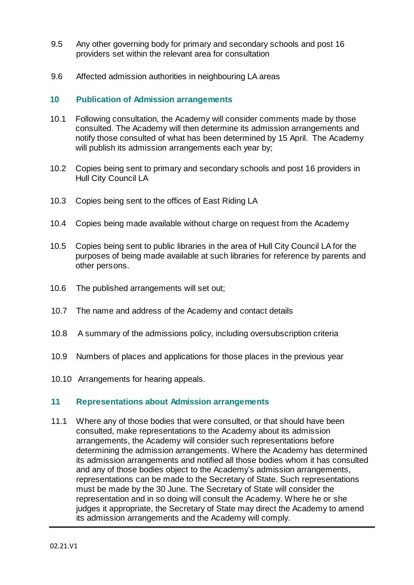- 9.5 Any other governing body for primary and secondary schools and post 16 providers set within the relevant area for consultation
- 9.6 Affected admission authorities in neighbouring LA areas

## **10 Publication of Admission arrangements**

- 10.1 Following consultation, the Academy will consider comments made by those consulted. The Academy will then determine its admission arrangements and notify those consulted of what has been determined by 15 April. The Academy will publish its admission arrangements each year by;
- 10.2 Copies being sent to primary and secondary schools and post 16 providers in Hull City Council LA
- 10.3 Copies being sent to the offices of East Riding LA
- 10.4 Copies being made available without charge on request from the Academy
- 10.5 Copies being sent to public libraries in the area of Hull City Council LA for the purposes of being made available at such libraries for reference by parents and other persons.
- 10.6 The published arrangements will set out;
- 10.7 The name and address of the Academy and contact details
- 10.8 A summary of the admissions policy, including oversubscription criteria
- 10.9 Numbers of places and applications for those places in the previous year
- 10.10 Arrangements for hearing appeals.

## **11 Representations about Admission arrangements**

11.1 Where any of those bodies that were consulted, or that should have been consulted, make representations to the Academy about its admission arrangements, the Academy will consider such representations before determining the admission arrangements. Where the Academy has determined its admission arrangements and notified all those bodies whom it has consulted and any of those bodies object to the Academy's admission arrangements, representations can be made to the Secretary of State. Such representations must be made by the 30 June. The Secretary of State will consider the representation and in so doing will consult the Academy. Where he or she judges it appropriate, the Secretary of State may direct the Academy to amend its admission arrangements and the Academy will comply.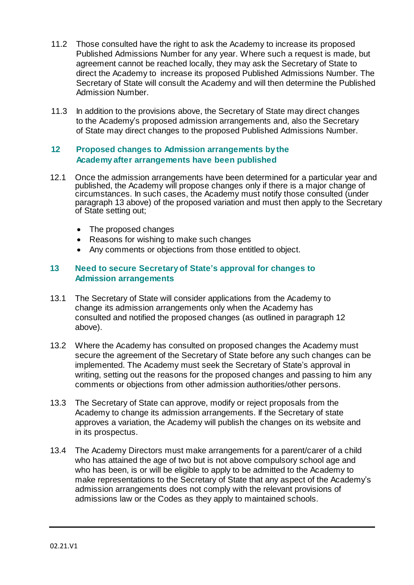- 11.2 Those consulted have the right to ask the Academy to increase its proposed Published Admissions Number for any year. Where such a request is made, but agreement cannot be reached locally, they may ask the Secretary of State to direct the Academy to increase its proposed Published Admissions Number. The Secretary of State will consult the Academy and will then determine the Published Admission Number.
- 11.3 In addition to the provisions above, the Secretary of State may direct changes to the Academy's proposed admission arrangements and, also the Secretary of State may direct changes to the proposed Published Admissions Number.

#### **12 Proposed changes to Admission arrangements by the Academy after arrangements have been published**

- 12.1 Once the admission arrangements have been determined for a particular year and published, the Academy will propose changes only if there is a major change of circumstances. In such cases, the Academy must notify those consulted (under paragraph 13 above) of the proposed variation and must then apply to the Secretary of State setting out;
	- The proposed changes
	- Reasons for wishing to make such changes
	- Any comments or objections from those entitled to object.

## **13 Need to secure Secretary of State's approval for changes to Admission arrangements**

- 13.1 The Secretary of State will consider applications from the Academy to change its admission arrangements only when the Academy has consulted and notified the proposed changes (as outlined in paragraph 12 above).
- 13.2 Where the Academy has consulted on proposed changes the Academy must secure the agreement of the Secretary of State before any such changes can be implemented. The Academy must seek the Secretary of State's approval in writing, setting out the reasons for the proposed changes and passing to him any comments or objections from other admission authorities/other persons.
- 13.3 The Secretary of State can approve, modify or reject proposals from the Academy to change its admission arrangements. If the Secretary of state approves a variation, the Academy will publish the changes on its website and in its prospectus.
- 13.4 The Academy Directors must make arrangements for a parent/carer of a child who has attained the age of two but is not above compulsory school age and who has been, is or will be eligible to apply to be admitted to the Academy to make representations to the Secretary of State that any aspect of the Academy's admission arrangements does not comply with the relevant provisions of admissions law or the Codes as they apply to maintained schools.